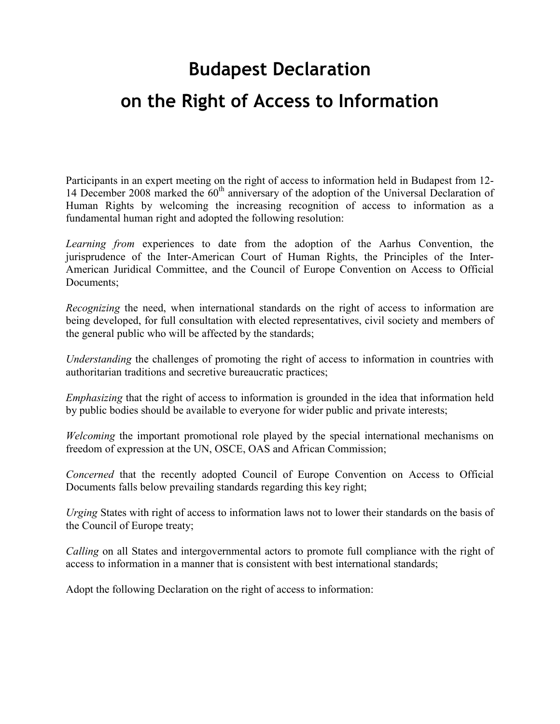## **Budapest Declaration on the Right of Access to Information**

Participants in an expert meeting on the right of access to information held in Budapest from 12- 14 December 2008 marked the  $60<sup>th</sup>$  anniversary of the adoption of the Universal Declaration of Human Rights by welcoming the increasing recognition of access to information as a fundamental human right and adopted the following resolution:

*Learning from* experiences to date from the adoption of the Aarhus Convention, the jurisprudence of the Inter-American Court of Human Rights, the Principles of the Inter-American Juridical Committee, and the Council of Europe Convention on Access to Official Documents;

*Recognizing* the need, when international standards on the right of access to information are being developed, for full consultation with elected representatives, civil society and members of the general public who will be affected by the standards;

*Understanding* the challenges of promoting the right of access to information in countries with authoritarian traditions and secretive bureaucratic practices;

*Emphasizing* that the right of access to information is grounded in the idea that information held by public bodies should be available to everyone for wider public and private interests;

*Welcoming* the important promotional role played by the special international mechanisms on freedom of expression at the UN, OSCE, OAS and African Commission;

*Concerned* that the recently adopted Council of Europe Convention on Access to Official Documents falls below prevailing standards regarding this key right;

*Urging* States with right of access to information laws not to lower their standards on the basis of the Council of Europe treaty;

*Calling* on all States and intergovernmental actors to promote full compliance with the right of access to information in a manner that is consistent with best international standards;

Adopt the following Declaration on the right of access to information: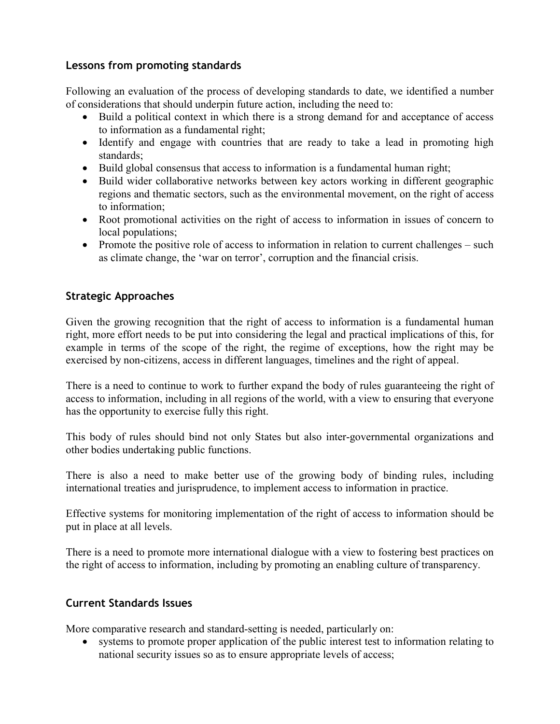## **Lessons from promoting standards**

Following an evaluation of the process of developing standards to date, we identified a number of considerations that should underpin future action, including the need to:

- Build a political context in which there is a strong demand for and acceptance of access to information as a fundamental right;
- Identify and engage with countries that are ready to take a lead in promoting high standards;
- Build global consensus that access to information is a fundamental human right;
- Build wider collaborative networks between key actors working in different geographic regions and thematic sectors, such as the environmental movement, on the right of access to information;
- Root promotional activities on the right of access to information in issues of concern to local populations;
- Promote the positive role of access to information in relation to current challenges such as climate change, the 'war on terror', corruption and the financial crisis.

## **Strategic Approaches**

Given the growing recognition that the right of access to information is a fundamental human right, more effort needs to be put into considering the legal and practical implications of this, for example in terms of the scope of the right, the regime of exceptions, how the right may be exercised by non-citizens, access in different languages, timelines and the right of appeal.

There is a need to continue to work to further expand the body of rules guaranteeing the right of access to information, including in all regions of the world, with a view to ensuring that everyone has the opportunity to exercise fully this right.

This body of rules should bind not only States but also inter-governmental organizations and other bodies undertaking public functions.

There is also a need to make better use of the growing body of binding rules, including international treaties and jurisprudence, to implement access to information in practice.

Effective systems for monitoring implementation of the right of access to information should be put in place at all levels.

There is a need to promote more international dialogue with a view to fostering best practices on the right of access to information, including by promoting an enabling culture of transparency.

## **Current Standards Issues**

More comparative research and standard-setting is needed, particularly on:

• systems to promote proper application of the public interest test to information relating to national security issues so as to ensure appropriate levels of access;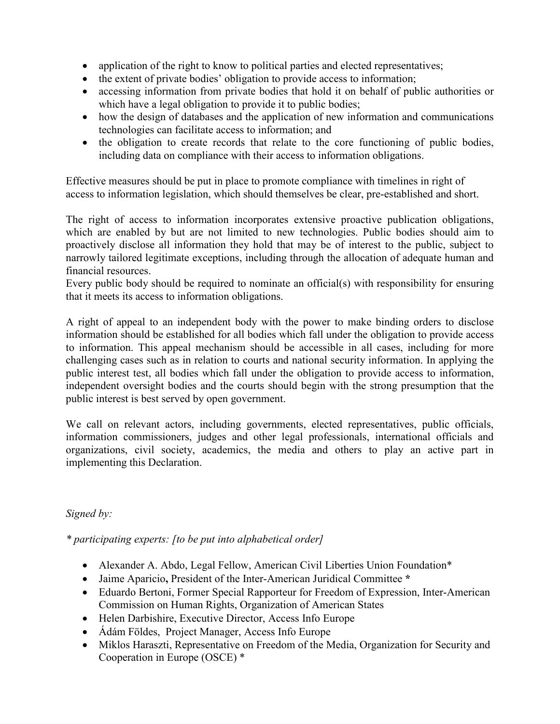- application of the right to know to political parties and elected representatives;
- the extent of private bodies' obligation to provide access to information;
- accessing information from private bodies that hold it on behalf of public authorities or which have a legal obligation to provide it to public bodies;
- how the design of databases and the application of new information and communications technologies can facilitate access to information; and
- the obligation to create records that relate to the core functioning of public bodies, including data on compliance with their access to information obligations.

Effective measures should be put in place to promote compliance with timelines in right of access to information legislation, which should themselves be clear, pre-established and short.

The right of access to information incorporates extensive proactive publication obligations, which are enabled by but are not limited to new technologies. Public bodies should aim to proactively disclose all information they hold that may be of interest to the public, subject to narrowly tailored legitimate exceptions, including through the allocation of adequate human and financial resources.

Every public body should be required to nominate an official(s) with responsibility for ensuring that it meets its access to information obligations.

A right of appeal to an independent body with the power to make binding orders to disclose information should be established for all bodies which fall under the obligation to provide access to information. This appeal mechanism should be accessible in all cases, including for more challenging cases such as in relation to courts and national security information. In applying the public interest test, all bodies which fall under the obligation to provide access to information, independent oversight bodies and the courts should begin with the strong presumption that the public interest is best served by open government.

We call on relevant actors, including governments, elected representatives, public officials, information commissioners, judges and other legal professionals, international officials and organizations, civil society, academics, the media and others to play an active part in implementing this Declaration.

*Signed by:* 

*\* participating experts: [to be put into alphabetical order]* 

- Alexander A. Abdo, Legal Fellow, American Civil Liberties Union Foundation\*
- Jaime Aparicio**,** President of the Inter-American Juridical Committee **\***
- Eduardo Bertoni, Former Special Rapporteur for Freedom of Expression, Inter-American Commission on Human Rights, Organization of American States
- Helen Darbishire, Executive Director, Access Info Europe
- Ádám Földes, Project Manager, Access Info Europe
- Miklos Haraszti, Representative on Freedom of the Media, Organization for Security and Cooperation in Europe (OSCE) \*